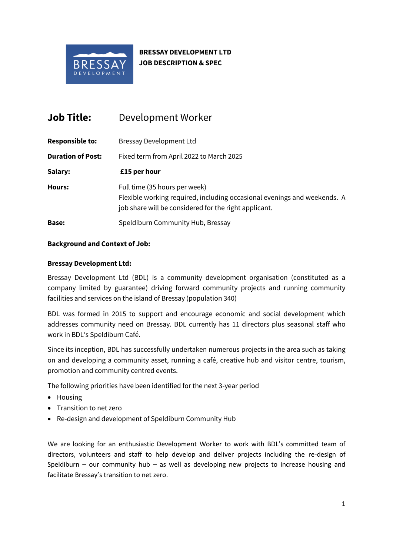

# **BRESSAY DEVELOPMENT LTD JOB DESCRIPTION & SPEC**

| <b>Job Title:</b>        | Development Worker                                                                                                                                                 |
|--------------------------|--------------------------------------------------------------------------------------------------------------------------------------------------------------------|
| <b>Responsible to:</b>   | <b>Bressay Development Ltd</b>                                                                                                                                     |
| <b>Duration of Post:</b> | Fixed term from April 2022 to March 2025                                                                                                                           |
| Salary:                  | £15 per hour                                                                                                                                                       |
| <b>Hours:</b>            | Full time (35 hours per week)<br>Flexible working required, including occasional evenings and weekends. A<br>job share will be considered for the right applicant. |
| Base:                    | Speldiburn Community Hub, Bressay                                                                                                                                  |

### **Background and Context of Job:**

### **Bressay Development Ltd:**

Bressay Development Ltd (BDL) is a community development organisation (constituted as a company limited by guarantee) driving forward community projects and running community facilities and services on the island of Bressay (population 340)

BDL was formed in 2015 to support and encourage economic and social development which addresses community need on Bressay. BDL currently has 11 directors plus seasonal staff who work in BDL's Speldiburn Café.

Since its inception, BDL has successfully undertaken numerous projects in the area such as taking on and developing a community asset, running a café, creative hub and visitor centre, tourism, promotion and community centred events.

The following priorities have been identified for the next 3-year period

- Housing
- Transition to net zero
- Re-design and development of Speldiburn Community Hub

We are looking for an enthusiastic Development Worker to work with BDL's committed team of directors, volunteers and staff to help develop and deliver projects including the re-design of Speldiburn – our community hub – as well as developing new projects to increase housing and facilitate Bressay's transition to net zero.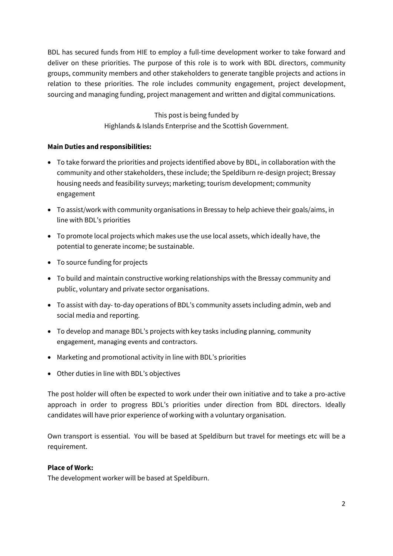BDL has secured funds from HIE to employ a full-time development worker to take forward and deliver on these priorities. The purpose of this role is to work with BDL directors, community groups, community members and other stakeholders to generate tangible projects and actions in relation to these priorities. The role includes community engagement, project development, sourcing and managing funding, project management and written and digital communications.

> This post is being funded by Highlands & Islands Enterprise and the Scottish Government.

### **Main Duties and responsibilities:**

- To take forward the priorities and projects identified above by BDL, in collaboration with the community and other stakeholders, these include; the Speldiburn re-design project; Bressay housing needs and feasibility surveys; marketing; tourism development; community engagement
- To assist/work with community organisations in Bressay to help achieve their goals/aims, in line with BDL's priorities
- To promote local projects which makes use the use local assets, which ideally have, the potential to generate income; be sustainable.
- To source funding for projects
- To build and maintain constructive working relationships with the Bressay community and public, voluntary and private sector organisations.
- To assist with day- to-day operations of BDL's community assets including admin, web and social media and reporting.
- To develop and manage BDL's projects with key tasks including planning, community engagement, managing events and contractors.
- Marketing and promotional activity in line with BDL's priorities
- Other duties in line with BDL's objectives

The post holder will often be expected to work under their own initiative and to take a pro-active approach in order to progress BDL's priorities under direction from BDL directors. Ideally candidates will have prior experience of working with a voluntary organisation.

Own transport is essential. You will be based at Speldiburn but travel for meetings etc will be a requirement.

# **Place of Work:**

The development worker will be based at Speldiburn.